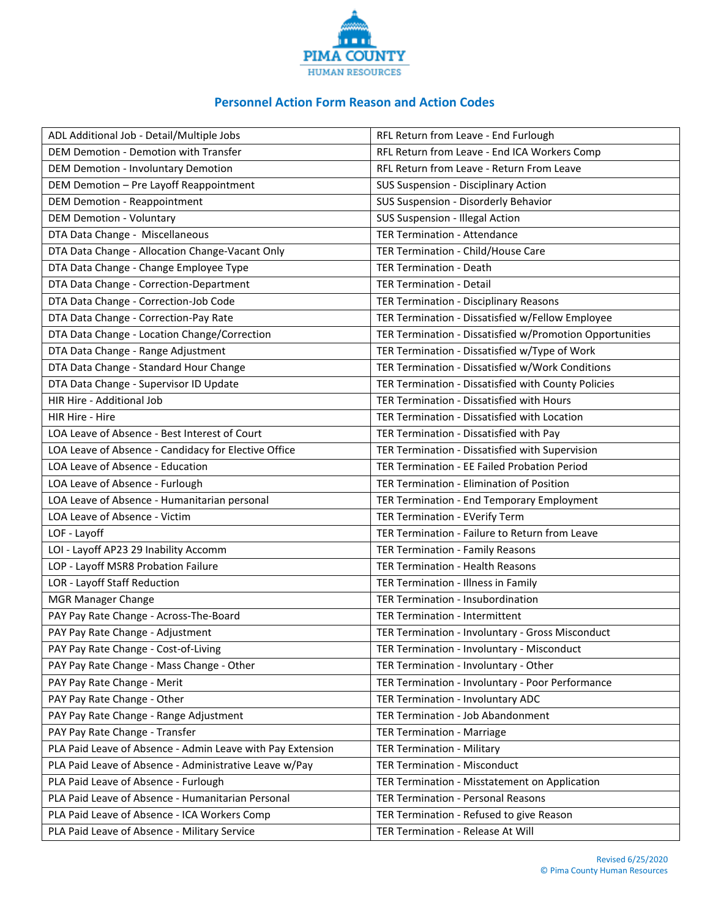

## **Personnel Action Form Reason and Action Codes**

| ADL Additional Job - Detail/Multiple Jobs                  | RFL Return from Leave - End Furlough                     |
|------------------------------------------------------------|----------------------------------------------------------|
| DEM Demotion - Demotion with Transfer                      | RFL Return from Leave - End ICA Workers Comp             |
| DEM Demotion - Involuntary Demotion                        | RFL Return from Leave - Return From Leave                |
| DEM Demotion - Pre Layoff Reappointment                    | SUS Suspension - Disciplinary Action                     |
| <b>DEM Demotion - Reappointment</b>                        | SUS Suspension - Disorderly Behavior                     |
| <b>DEM Demotion - Voluntary</b>                            | SUS Suspension - Illegal Action                          |
| DTA Data Change - Miscellaneous                            | <b>TER Termination - Attendance</b>                      |
| DTA Data Change - Allocation Change-Vacant Only            | TER Termination - Child/House Care                       |
| DTA Data Change - Change Employee Type                     | <b>TER Termination - Death</b>                           |
| DTA Data Change - Correction-Department                    | <b>TER Termination - Detail</b>                          |
| DTA Data Change - Correction-Job Code                      | TER Termination - Disciplinary Reasons                   |
| DTA Data Change - Correction-Pay Rate                      | TER Termination - Dissatisfied w/Fellow Employee         |
| DTA Data Change - Location Change/Correction               | TER Termination - Dissatisfied w/Promotion Opportunities |
| DTA Data Change - Range Adjustment                         | TER Termination - Dissatisfied w/Type of Work            |
| DTA Data Change - Standard Hour Change                     | TER Termination - Dissatisfied w/Work Conditions         |
| DTA Data Change - Supervisor ID Update                     | TER Termination - Dissatisfied with County Policies      |
| HIR Hire - Additional Job                                  | TER Termination - Dissatisfied with Hours                |
| HIR Hire - Hire                                            | TER Termination - Dissatisfied with Location             |
| LOA Leave of Absence - Best Interest of Court              | TER Termination - Dissatisfied with Pay                  |
| LOA Leave of Absence - Candidacy for Elective Office       | TER Termination - Dissatisfied with Supervision          |
| LOA Leave of Absence - Education                           | TER Termination - EE Failed Probation Period             |
| LOA Leave of Absence - Furlough                            | TER Termination - Elimination of Position                |
| LOA Leave of Absence - Humanitarian personal               | TER Termination - End Temporary Employment               |
| LOA Leave of Absence - Victim                              | TER Termination - EVerify Term                           |
| LOF - Layoff                                               | TER Termination - Failure to Return from Leave           |
| LOI - Layoff AP23 29 Inability Accomm                      | <b>TER Termination - Family Reasons</b>                  |
| LOP - Layoff MSR8 Probation Failure                        | <b>TER Termination - Health Reasons</b>                  |
| LOR - Layoff Staff Reduction                               | TER Termination - Illness in Family                      |
| <b>MGR Manager Change</b>                                  | TER Termination - Insubordination                        |
| PAY Pay Rate Change - Across-The-Board                     | <b>TER Termination - Intermittent</b>                    |
| PAY Pay Rate Change - Adjustment                           | TER Termination - Involuntary - Gross Misconduct         |
| PAY Pay Rate Change - Cost-of-Living                       | TER Termination - Involuntary - Misconduct               |
| PAY Pay Rate Change - Mass Change - Other                  | TER Termination - Involuntary - Other                    |
| PAY Pay Rate Change - Merit                                | TER Termination - Involuntary - Poor Performance         |
| PAY Pay Rate Change - Other                                | TER Termination - Involuntary ADC                        |
| PAY Pay Rate Change - Range Adjustment                     | TER Termination - Job Abandonment                        |
| PAY Pay Rate Change - Transfer                             | <b>TER Termination - Marriage</b>                        |
| PLA Paid Leave of Absence - Admin Leave with Pay Extension | <b>TER Termination - Military</b>                        |
| PLA Paid Leave of Absence - Administrative Leave w/Pay     | <b>TER Termination - Misconduct</b>                      |
| PLA Paid Leave of Absence - Furlough                       | TER Termination - Misstatement on Application            |
| PLA Paid Leave of Absence - Humanitarian Personal          | <b>TER Termination - Personal Reasons</b>                |
| PLA Paid Leave of Absence - ICA Workers Comp               | TER Termination - Refused to give Reason                 |
| PLA Paid Leave of Absence - Military Service               | TER Termination - Release At Will                        |